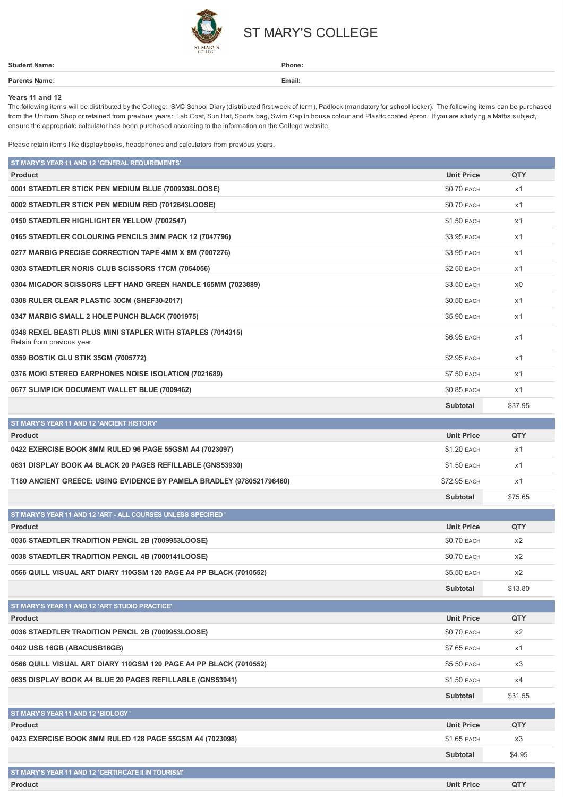

## ST MARY'S COLLEGE

| <b>Student Name:</b> | Phone: |
|----------------------|--------|
| Parents Name:        | Email: |
|                      |        |

## **Years 11 and 12**

The following items will be distributed bythe College: SMC School Diary(distributed first week of term), Padlock (mandatoryfor school locker). The following items can be purchased from the Uniform Shop or retained from previous years: Lab Coat, Sun Hat, Sports bag, Swim Cap in house colour and Plastic coated Apron. If you are studying a Maths subject, ensure the appropriate calculator has been purchased according to the information on the College website.

Please retain items like display books, headphones and calculators from previous years.

| ST MARY'S YEAR 11 AND 12 'GENERAL REQUIREMENTS'                                         |                    |                |
|-----------------------------------------------------------------------------------------|--------------------|----------------|
| <b>Product</b>                                                                          | <b>Unit Price</b>  | QTY            |
| 0001 STAEDTLER STICK PEN MEDIUM BLUE (7009308LOOSE)                                     | \$0.70 EACH        | x1             |
| 0002 STAEDTLER STICK PEN MEDIUM RED (7012643LOOSE)                                      | <b>\$0.70 EACH</b> | x1             |
| 0150 STAEDTLER HIGHLIGHTER YELLOW (7002547)                                             | <b>\$1.50 EACH</b> | x1             |
| 0165 STAEDTLER COLOURING PENCILS 3MM PACK 12 (7047796)                                  | \$3.95 EACH        | x1             |
| 0277 MARBIG PRECISE CORRECTION TAPE 4MM X 8M (7007276)                                  | \$3.95 EACH        | x1             |
| 0303 STAEDTLER NORIS CLUB SCISSORS 17CM (7054056)                                       | \$2.50 EACH        | x1             |
| 0304 MICADOR SCISSORS LEFT HAND GREEN HANDLE 165MM (7023889)                            | \$3.50 EACH        | x <sub>0</sub> |
| 0308 RULER CLEAR PLASTIC 30CM (SHEF30-2017)                                             | \$0.50 EACH        | x1             |
| 0347 MARBIG SMALL 2 HOLE PUNCH BLACK (7001975)                                          | \$5.90 EACH        | x1             |
| 0348 REXEL BEASTI PLUS MINI STAPLER WITH STAPLES (7014315)<br>Retain from previous year | \$6.95 EACH        | x1             |
| 0359 BOSTIK GLU STIK 35GM (7005772)                                                     | \$2.95 EACH        | x1             |
| 0376 MOKI STEREO EARPHONES NOISE ISOLATION (7021689)                                    | <b>\$7.50 EACH</b> | x1             |
| 0677 SLIMPICK DOCUMENT WALLET BLUE (7009462)                                            | \$0.85 EACH        | x1             |
|                                                                                         | Subtotal           | \$37.95        |
| ST MARY'S YEAR 11 AND 12 'ANCIENT HISTORY'                                              |                    |                |
| <b>Product</b>                                                                          | <b>Unit Price</b>  | QTY            |
| 0422 EXERCISE BOOK 8MM RULED 96 PAGE 55GSM A4 (7023097)                                 | \$1.20 EACH        | x1             |
| 0631 DISPLAY BOOK A4 BLACK 20 PAGES REFILLABLE (GNS53930)                               | \$1.50 EACH        | x1             |
| T180 ANCIENT GREECE: USING EVIDENCE BY PAMELA BRADLEY (9780521796460)                   | \$72.95 EACH       | x1             |
|                                                                                         | Subtotal           | \$75.65        |
| ST MARY'S YEAR 11 AND 12 'ART - ALL COURSES UNLESS SPECIFIED'                           |                    |                |
| <b>Product</b>                                                                          | <b>Unit Price</b>  | QTY            |
| 0036 STAEDTLER TRADITION PENCIL 2B (7009953LOOSE)                                       | \$0.70 EACH        | x2             |
| 0038 STAEDTLER TRADITION PENCIL 4B (7000141LOOSE)                                       | \$0.70 EACH        | x2             |
| 0566 QUILL VISUAL ART DIARY 110GSM 120 PAGE A4 PP BLACK (7010552)                       | \$5.50 EACH        | x2             |
|                                                                                         | <b>Subtotal</b>    | \$13.80        |
| ST MARY'S YEAR 11 AND 12 'ART STUDIO PRACTICE'                                          |                    |                |
| <b>Product</b>                                                                          | <b>Unit Price</b>  | QTY            |
| 0036 STAEDTLER TRADITION PENCIL 2B (7009953LOOSE)                                       | <b>\$0.70 EACH</b> | x2             |
| 0402 USB 16GB (ABACUSB16GB)                                                             | \$7.65 EACH        | x1             |
| 0566 QUILL VISUAL ART DIARY 110GSM 120 PAGE A4 PP BLACK (7010552)                       | \$5.50 EACH        | x3             |
| 0635 DISPLAY BOOK A4 BLUE 20 PAGES REFILLABLE (GNS53941)                                | \$1.50 EACH        | х4             |
|                                                                                         | Subtotal           | \$31.55        |
| ST MARY'S YEAR 11 AND 12 'BIOLOGY'                                                      |                    |                |
| <b>Product</b>                                                                          | <b>Unit Price</b>  | QTY            |
| 0423 EXERCISE BOOK 8MM RULED 128 PAGE 55GSM A4 (7023098)                                | \$1.65 EACH        | x3             |
|                                                                                         | Subtotal           | \$4.95         |
| ST MARY'S YEAR 11 AND 12 'CERTIFICATE II IN TOURISM'                                    |                    |                |
| Product                                                                                 | <b>Unit Price</b>  | QTY            |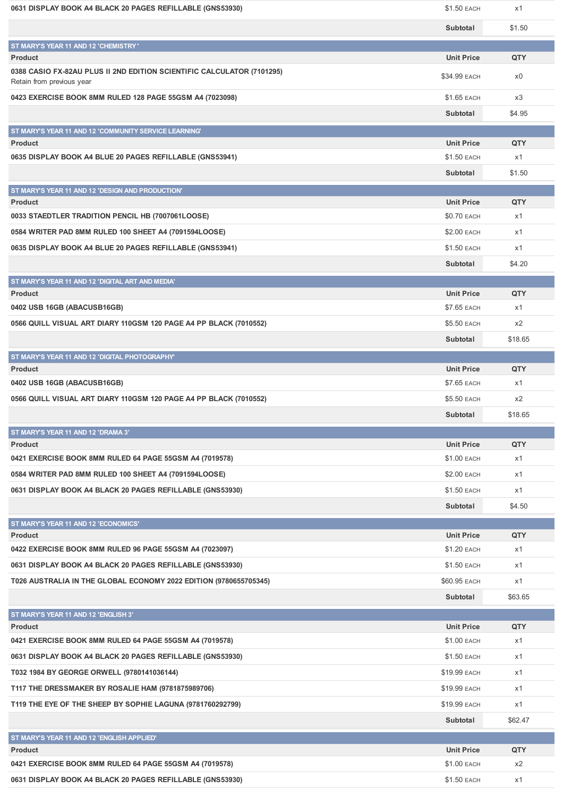| 0631 DISPLAY BOOK A4 BLACK 20 PAGES REFILLABLE (GNS53930)                                           | \$1.50 EACH       | x1      |
|-----------------------------------------------------------------------------------------------------|-------------------|---------|
|                                                                                                     | Subtotal          | \$1.50  |
| ST MARY'S YEAR 11 AND 12 'CHEMISTRY'                                                                |                   |         |
| <b>Product</b>                                                                                      | <b>Unit Price</b> | QTY     |
| 0388 CASIO FX-82AU PLUS II 2ND EDITION SCIENTIFIC CALCULATOR (7101295)<br>Retain from previous year | \$34.99 EACH      | x0      |
| 0423 EXERCISE BOOK 8MM RULED 128 PAGE 55GSM A4 (7023098)                                            | \$1.65 EACH       | x3      |
|                                                                                                     | Subtotal          | \$4.95  |
| ST MARY'S YEAR 11 AND 12 'COMMUNITY SERVICE LEARNING'                                               |                   |         |
| <b>Product</b>                                                                                      | <b>Unit Price</b> | QTY     |
| 0635 DISPLAY BOOK A4 BLUE 20 PAGES REFILLABLE (GNS53941)                                            | \$1.50 EACH       | x1      |
|                                                                                                     | Subtotal          | \$1.50  |
| ST MARY'S YEAR 11 AND 12 'DESIGN AND PRODUCTION'                                                    |                   |         |
| <b>Product</b>                                                                                      | <b>Unit Price</b> | QTY     |
| 0033 STAEDTLER TRADITION PENCIL HB (7007061LOOSE)                                                   | \$0.70 EACH       | x1      |
| 0584 WRITER PAD 8MM RULED 100 SHEET A4 (7091594LOOSE)                                               | \$2.00 EACH       | x1      |
| 0635 DISPLAY BOOK A4 BLUE 20 PAGES REFILLABLE (GNS53941)                                            | \$1.50 EACH       | x1      |
|                                                                                                     | Subtotal          | \$4.20  |
| ST MARY'S YEAR 11 AND 12 'DIGITAL ART AND MEDIA'                                                    |                   |         |
| <b>Product</b>                                                                                      | <b>Unit Price</b> | QTY     |
| 0402 USB 16GB (ABACUSB16GB)                                                                         | \$7.65 EACH       | x1      |
| 0566 QUILL VISUAL ART DIARY 110GSM 120 PAGE A4 PP BLACK (7010552)                                   | \$5.50 EACH       | x2      |
|                                                                                                     | Subtotal          | \$18.65 |
| ST MARY'S YEAR 11 AND 12 'DIGITAL PHOTOGRAPHY'                                                      |                   |         |
| <b>Product</b>                                                                                      | <b>Unit Price</b> | QTY     |
| 0402 USB 16GB (ABACUSB16GB)                                                                         | \$7.65 EACH       | x1      |
| 0566 QUILL VISUAL ART DIARY 110GSM 120 PAGE A4 PP BLACK (7010552)                                   | \$5.50 EACH       | x2      |
|                                                                                                     | Subtotal          | \$18.65 |
| ST MARY'S YEAR 11 AND 12 'DRAMA 3'                                                                  |                   |         |
| <b>Product</b>                                                                                      | <b>Unit Price</b> | QTY     |
| 0421 EXERCISE BOOK 8MM RULED 64 PAGE 55GSM A4 (7019578)                                             | \$1.00 EACH       | x1      |
| 0584 WRITER PAD 8MM RULED 100 SHEET A4 (7091594LOOSE)                                               | \$2.00 EACH       | x1      |
| 0631 DISPLAY BOOK A4 BLACK 20 PAGES REFILLABLE (GNS53930)                                           | \$1.50 EACH       | x1      |
|                                                                                                     | Subtotal          | \$4.50  |
| ST MARY'S YEAR 11 AND 12 'ECONOMICS'                                                                |                   |         |
| <b>Product</b>                                                                                      | <b>Unit Price</b> | QTY     |
| 0422 EXERCISE BOOK 8MM RULED 96 PAGE 55GSM A4 (7023097)                                             | \$1.20 EACH       | x1      |
| 0631 DISPLAY BOOK A4 BLACK 20 PAGES REFILLABLE (GNS53930)                                           | \$1.50 EACH       | x1      |
| T026 AUSTRALIA IN THE GLOBAL ECONOMY 2022 EDITION (9780655705345)                                   | \$60.95 EACH      | x1      |
|                                                                                                     | Subtotal          | \$63.65 |
| ST MARY'S YEAR 11 AND 12 'ENGLISH 3'                                                                |                   |         |
| <b>Product</b>                                                                                      | <b>Unit Price</b> | QTY     |
| 0421 EXERCISE BOOK 8MM RULED 64 PAGE 55GSM A4 (7019578)                                             | \$1.00 EACH       | x1      |
| 0631 DISPLAY BOOK A4 BLACK 20 PAGES REFILLABLE (GNS53930)                                           | \$1.50 EACH       | x1      |
| T032 1984 BY GEORGE ORWELL (9780141036144)                                                          | \$19.99 EACH      | x1      |
| T117 THE DRESSMAKER BY ROSALIE HAM (9781875989706)                                                  | \$19.99 EACH      | x1      |
| T119 THE EYE OF THE SHEEP BY SOPHIE LAGUNA (9781760292799)                                          | \$19.99 EACH      | x1      |
|                                                                                                     | Subtotal          | \$62.47 |
| ST MARY'S YEAR 11 AND 12 'ENGLISH APPLIED'                                                          |                   |         |
| <b>Product</b>                                                                                      | <b>Unit Price</b> | QTY     |
| 0421 EXERCISE BOOK 8MM RULED 64 PAGE 55GSM A4 (7019578)                                             | \$1.00 EACH       | x2      |
| 0631 DISPLAY BOOK A4 BLACK 20 PAGES REFILLABLE (GNS53930)                                           | \$1.50 EACH       | x1      |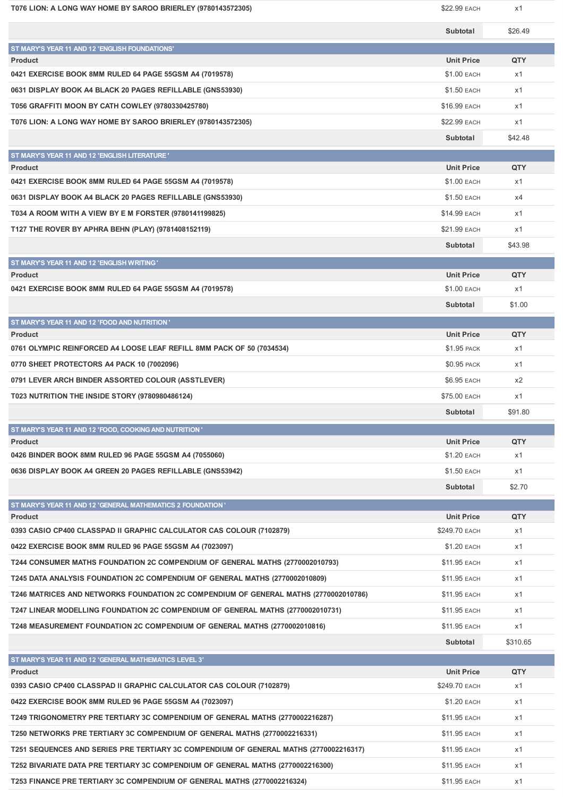| T076 LION: A LONG WAY HOME BY SAROO BRIERLEY (9780143572305)                           | \$22.99 EACH                       | x1        |
|----------------------------------------------------------------------------------------|------------------------------------|-----------|
|                                                                                        | Subtotal                           | \$26.49   |
| ST MARY'S YEAR 11 AND 12 'ENGLISH FOUNDATIONS'                                         |                                    |           |
| <b>Product</b>                                                                         | <b>Unit Price</b>                  | QTY       |
| 0421 EXERCISE BOOK 8MM RULED 64 PAGE 55GSM A4 (7019578)                                | \$1.00 EACH                        | x1        |
| 0631 DISPLAY BOOK A4 BLACK 20 PAGES REFILLABLE (GNS53930)                              | \$1.50 EACH                        | x1        |
| T056 GRAFFITI MOON BY CATH COWLEY (9780330425780)                                      | \$16.99 EACH                       | x1        |
| T076 LION: A LONG WAY HOME BY SAROO BRIERLEY (9780143572305)                           | \$22.99 EACH                       | x1        |
|                                                                                        | Subtotal                           | \$42.48   |
| ST MARY'S YEAR 11 AND 12 'ENGLISH LITERATURE'                                          |                                    |           |
| <b>Product</b>                                                                         | <b>Unit Price</b>                  | QTY       |
| 0421 EXERCISE BOOK 8MM RULED 64 PAGE 55GSM A4 (7019578)                                | \$1.00 EACH                        | x1        |
| 0631 DISPLAY BOOK A4 BLACK 20 PAGES REFILLABLE (GNS53930)                              | \$1.50 EACH                        | x4        |
| T034 A ROOM WITH A VIEW BY E M FORSTER (9780141199825)                                 | \$14.99 EACH                       | x1        |
| T127 THE ROVER BY APHRA BEHN (PLAY) (9781408152119)                                    | \$21.99 EACH                       | x1        |
|                                                                                        | Subtotal                           | \$43.98   |
| ST MARY'S YEAR 11 AND 12 'ENGLISH WRITING'                                             |                                    |           |
| <b>Product</b>                                                                         | <b>Unit Price</b>                  | QTY       |
| 0421 EXERCISE BOOK 8MM RULED 64 PAGE 55GSM A4 (7019578)                                | \$1.00 EACH                        | x1        |
|                                                                                        | Subtotal                           | \$1.00    |
| ST MARY'S YEAR 11 AND 12 'FOOD AND NUTRITION'                                          |                                    |           |
| <b>Product</b>                                                                         | <b>Unit Price</b>                  | QTY       |
| 0761 OLYMPIC REINFORCED A4 LOOSE LEAF REFILL 8MM PACK OF 50 (7034534)                  | <b>\$1.95 PACK</b>                 | x1        |
| 0770 SHEET PROTECTORS A4 PACK 10 (7002096)                                             | \$0.95 PACK                        | x1        |
| 0791 LEVER ARCH BINDER ASSORTED COLOUR (ASSTLEVER)                                     | \$6.95 EACH                        | x2        |
| T023 NUTRITION THE INSIDE STORY (9780980486124)                                        | \$75.00 EACH                       | x1        |
|                                                                                        | Subtotal                           | \$91.80   |
| ST MARY'S YEAR 11 AND 12 'FOOD, COOKING AND NUTRITION'                                 |                                    |           |
| <b>Product</b>                                                                         | <b>Unit Price</b>                  | QTY       |
| 0426 BINDER BOOK 8MM RULED 96 PAGE 55GSM A4 (7055060)                                  | \$1.20 EACH                        | x1        |
| 0636 DISPLAY BOOK A4 GREEN 20 PAGES REFILLABLE (GNS53942)                              | \$1.50 EACH                        | x1        |
|                                                                                        | Subtotal                           | \$2.70    |
| ST MARY'S YEAR 11 AND 12 'GENERAL MATHEMATICS 2 FOUNDATION'                            |                                    |           |
| <b>Product</b><br>0393 CASIO CP400 CLASSPAD II GRAPHIC CALCULATOR CAS COLOUR (7102879) | <b>Unit Price</b><br>\$249.70 EACH | QTY<br>x1 |
|                                                                                        |                                    |           |
| 0422 EXERCISE BOOK 8MM RULED 96 PAGE 55GSM A4 (7023097)                                | \$1.20 EACH                        | x1        |
| T244 CONSUMER MATHS FOUNDATION 2C COMPENDIUM OF GENERAL MATHS (2770002010793)          | \$11.95 EACH                       | x1        |
| T245 DATA ANALYSIS FOUNDATION 2C COMPENDIUM OF GENERAL MATHS (2770002010809)           | \$11.95 EACH                       | x1        |
| T246 MATRICES AND NETWORKS FOUNDATION 2C COMPENDIUM OF GENERAL MATHS (2770002010786)   | \$11.95 EACH                       | x1        |
| T247 LINEAR MODELLING FOUNDATION 2C COMPENDIUM OF GENERAL MATHS (2770002010731)        | \$11.95 EACH                       | x1        |
| T248 MEASUREMENT FOUNDATION 2C COMPENDIUM OF GENERAL MATHS (2770002010816)             | \$11.95 EACH                       | x1        |
|                                                                                        | Subtotal                           | \$310.65  |
| ST MARY'S YEAR 11 AND 12 'GENERAL MATHEMATICS LEVEL 3'                                 |                                    |           |
| <b>Product</b>                                                                         | <b>Unit Price</b>                  | QTY       |
| 0393 CASIO CP400 CLASSPAD II GRAPHIC CALCULATOR CAS COLOUR (7102879)                   | \$249.70 EACH                      | x1        |
| 0422 EXERCISE BOOK 8MM RULED 96 PAGE 55GSM A4 (7023097)                                | \$1.20 EACH                        | x1        |
| T249 TRIGONOMETRY PRE TERTIARY 3C COMPENDIUM OF GENERAL MATHS (2770002216287)          | \$11.95 EACH                       | x1        |
| T250 NETWORKS PRE TERTIARY 3C COMPENDIUM OF GENERAL MATHS (2770002216331)              | \$11.95 EACH                       | x1        |

**T251 SEQUENCES AND SERIES PRE TERTIARY 3C COMPENDIUM OF GENERAL MATHS (2770002216317) \$11.95 EACH x1** x1 **T252 BIVARIATE DATA PRE TERTIARY 3C COMPENDIUM OF GENERAL MATHS (2770002216300) \$11.95 EACH \$11.95 EACH x1 T253 FINANCE PRE TERTIARY 3C COMPENDIUM OF GENERAL MATHS (2770002216324) \$11.95 EACH \$11.95 EACH** x1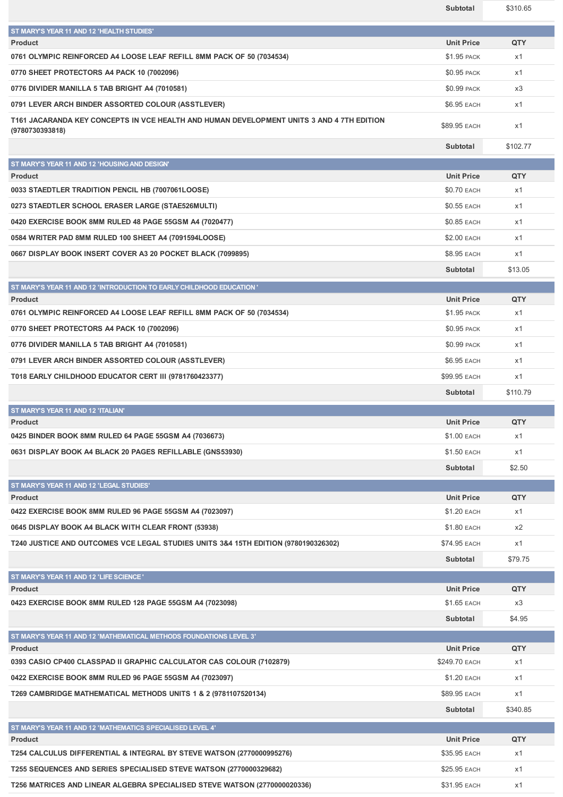|                                                                                           | Subtotal                         | \$310.65  |
|-------------------------------------------------------------------------------------------|----------------------------------|-----------|
| ST MARY'S YEAR 11 AND 12 'HEALTH STUDIES'                                                 |                                  |           |
| <b>Product</b>                                                                            | <b>Unit Price</b>                | QTY       |
| 0761 OLYMPIC REINFORCED A4 LOOSE LEAF REFILL 8MM PACK OF 50 (7034534)                     | \$1.95 PACK                      | x1        |
| 0770 SHEET PROTECTORS A4 PACK 10 (7002096)                                                | <b>\$0.95 PACK</b>               | x1        |
| 0776 DIVIDER MANILLA 5 TAB BRIGHT A4 (7010581)                                            | \$0.99 PACK                      | x3        |
| 0791 LEVER ARCH BINDER ASSORTED COLOUR (ASSTLEVER)                                        | \$6.95 EACH                      | x1        |
| T161 JACARANDA KEY CONCEPTS IN VCE HEALTH AND HUMAN DEVELOPMENT UNITS 3 AND 4 7TH EDITION |                                  |           |
| (9780730393818)                                                                           | \$89.95 EACH                     | x1        |
|                                                                                           | Subtotal                         | \$102.77  |
| ST MARY'S YEAR 11 AND 12 'HOUSING AND DESIGN'                                             |                                  |           |
| <b>Product</b>                                                                            | <b>Unit Price</b>                | QTY       |
| 0033 STAEDTLER TRADITION PENCIL HB (7007061LOOSE)                                         | <b>\$0.70 EACH</b>               | x1        |
| 0273 STAEDTLER SCHOOL ERASER LARGE (STAE526MULTI)                                         | \$0.55 EACH                      | x1        |
| 0420 EXERCISE BOOK 8MM RULED 48 PAGE 55GSM A4 (7020477)                                   | \$0.85 EACH                      | x1        |
| 0584 WRITER PAD 8MM RULED 100 SHEET A4 (7091594LOOSE)                                     | \$2.00 EACH                      | x1        |
| 0667 DISPLAY BOOK INSERT COVER A3 20 POCKET BLACK (7099895)                               | \$8.95 EACH                      | x1        |
|                                                                                           | Subtotal                         | \$13.05   |
| ST MARY'S YEAR 11 AND 12 'INTRODUCTION TO EARLY CHILDHOOD EDUCATION'                      |                                  |           |
| <b>Product</b>                                                                            | <b>Unit Price</b>                | QTY       |
| 0761 OLYMPIC REINFORCED A4 LOOSE LEAF REFILL 8MM PACK OF 50 (7034534)                     | \$1.95 PACK                      | x1        |
| 0770 SHEET PROTECTORS A4 PACK 10 (7002096)                                                | \$0.95 PACK                      | x1        |
| 0776 DIVIDER MANILLA 5 TAB BRIGHT A4 (7010581)                                            | \$0.99 PACK                      | x1        |
| 0791 LEVER ARCH BINDER ASSORTED COLOUR (ASSTLEVER)                                        | \$6.95 EACH                      | x1        |
| T018 EARLY CHILDHOOD EDUCATOR CERT III (9781760423377)                                    | \$99.95 EACH                     | x1        |
|                                                                                           | Subtotal                         | \$110.79  |
| ST MARY'S YEAR 11 AND 12 'ITALIAN'                                                        |                                  |           |
| <b>Product</b>                                                                            | <b>Unit Price</b>                | QTY       |
| 0425 BINDER BOOK 8MM RULED 64 PAGE 55GSM A4 (7036673)                                     | \$1.00 EACH                      | x1        |
| 0631 DISPLAY BOOK A4 BLACK 20 PAGES REFILLABLE (GNS53930)                                 | \$1.50 EACH                      | x1        |
|                                                                                           | Subtotal                         | \$2.50    |
| ST MARY'S YEAR 11 AND 12 'LEGAL STUDIES'                                                  |                                  |           |
| <b>Product</b><br>0422 EXERCISE BOOK 8MM RULED 96 PAGE 55GSM A4 (7023097)                 | <b>Unit Price</b><br>\$1.20 EACH | QTY<br>x1 |
| 0645 DISPLAY BOOK A4 BLACK WITH CLEAR FRONT (53938)                                       |                                  | x2        |
|                                                                                           | \$1.80 EACH                      |           |
| T240 JUSTICE AND OUTCOMES VCE LEGAL STUDIES UNITS 3&4 15TH EDITION (9780190326302)        | \$74.95 EACH                     | x1        |
|                                                                                           | Subtotal                         | \$79.75   |
| ST MARY'S YEAR 11 AND 12 'LIFE SCIENCE'<br><b>Product</b>                                 | <b>Unit Price</b>                | QTY       |
| 0423 EXERCISE BOOK 8MM RULED 128 PAGE 55GSM A4 (7023098)                                  | \$1.65 EACH                      | x3        |
|                                                                                           | Subtotal                         | \$4.95    |
| ST MARY'S YEAR 11 AND 12 'MATHEMATICAL METHODS FOUNDATIONS LEVEL 3'                       |                                  |           |
| Product                                                                                   | <b>Unit Price</b>                | QTY       |
| 0393 CASIO CP400 CLASSPAD II GRAPHIC CALCULATOR CAS COLOUR (7102879)                      | \$249.70 EACH                    | x1        |
| 0422 EXERCISE BOOK 8MM RULED 96 PAGE 55GSM A4 (7023097)                                   | \$1.20 EACH                      | x1        |
| T269 CAMBRIDGE MATHEMATICAL METHODS UNITS 1 & 2 (9781107520134)                           | \$89.95 EACH                     | x1        |
|                                                                                           | Subtotal                         | \$340.85  |
| ST MARY'S YEAR 11 AND 12 'MATHEMATICS SPECIALISED LEVEL 4'                                |                                  |           |
| <b>Product</b>                                                                            | <b>Unit Price</b>                | QTY       |
| T254 CALCULUS DIFFERENTIAL & INTEGRAL BY STEVE WATSON (2770000995276)                     | \$35.95 EACH                     | x1        |
| T255 SEQUENCES AND SERIES SPECIALISED STEVE WATSON (2770000329682)                        | \$25.95 EACH                     | x1        |
| T256 MATRICES AND LINEAR ALGEBRA SPECIALISED STEVE WATSON (2770000020336)                 | \$31.95 EACH                     | x1        |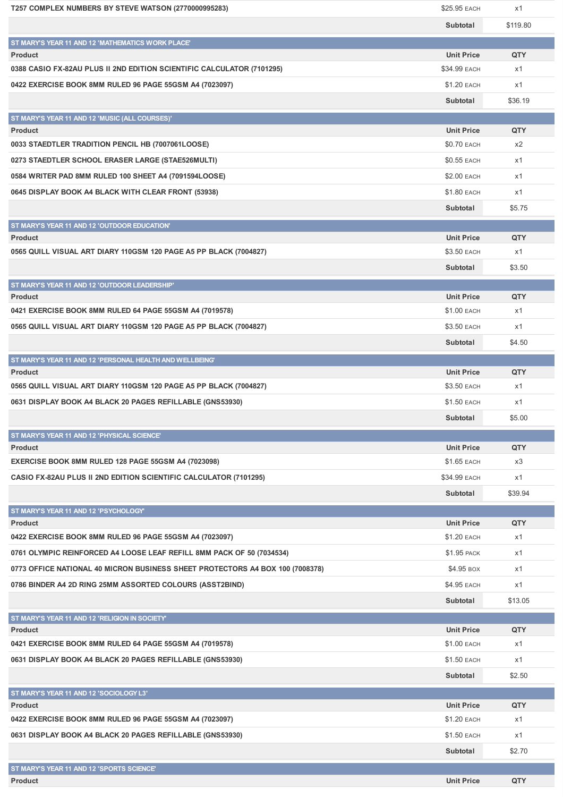| T257 COMPLEX NUMBERS BY STEVE WATSON (2770000995283)                          | \$25.95 EACH      | x1         |
|-------------------------------------------------------------------------------|-------------------|------------|
|                                                                               | Subtotal          | \$119.80   |
| ST MARY'S YEAR 11 AND 12 'MATHEMATICS WORK PLACE'                             |                   |            |
| <b>Product</b>                                                                | <b>Unit Price</b> | QTY        |
| 0388 CASIO FX-82AU PLUS II 2ND EDITION SCIENTIFIC CALCULATOR (7101295)        | \$34.99 EACH      | x1         |
| 0422 EXERCISE BOOK 8MM RULED 96 PAGE 55GSM A4 (7023097)                       | \$1.20 EACH       | x1         |
|                                                                               | Subtotal          | \$36.19    |
| ST MARY'S YEAR 11 AND 12 'MUSIC (ALL COURSES)'                                |                   |            |
| <b>Product</b>                                                                | <b>Unit Price</b> | QTY        |
| 0033 STAEDTLER TRADITION PENCIL HB (7007061LOOSE)                             | \$0.70 EACH       | x2         |
| 0273 STAEDTLER SCHOOL ERASER LARGE (STAE526MULTI)                             | \$0.55 EACH       | x1         |
| 0584 WRITER PAD 8MM RULED 100 SHEET A4 (7091594LOOSE)                         | \$2.00 EACH       | x1         |
| 0645 DISPLAY BOOK A4 BLACK WITH CLEAR FRONT (53938)                           | \$1.80 EACH       | x1         |
|                                                                               | Subtotal          | \$5.75     |
|                                                                               |                   |            |
| ST MARY'S YEAR 11 AND 12 'OUTDOOR EDUCATION'<br><b>Product</b>                | <b>Unit Price</b> | QTY        |
| 0565 QUILL VISUAL ART DIARY 110GSM 120 PAGE A5 PP BLACK (7004827)             | \$3.50 EACH       | x1         |
|                                                                               | Subtotal          | \$3.50     |
|                                                                               |                   |            |
| ST MARY'S YEAR 11 AND 12 'OUTDOOR LEADERSHIP'<br><b>Product</b>               | <b>Unit Price</b> | QTY        |
| 0421 EXERCISE BOOK 8MM RULED 64 PAGE 55GSM A4 (7019578)                       | \$1.00 EACH       | x1         |
| 0565 QUILL VISUAL ART DIARY 110GSM 120 PAGE A5 PP BLACK (7004827)             | \$3.50 EACH       | x1         |
|                                                                               | Subtotal          | \$4.50     |
|                                                                               |                   |            |
| ST MARY'S YEAR 11 AND 12 'PERSONAL HEALTH AND WELLBEING'<br><b>Product</b>    | <b>Unit Price</b> | QTY        |
| 0565 QUILL VISUAL ART DIARY 110GSM 120 PAGE A5 PP BLACK (7004827)             | \$3.50 EACH       | x1         |
| 0631 DISPLAY BOOK A4 BLACK 20 PAGES REFILLABLE (GNS53930)                     | \$1.50 EACH       | x1         |
|                                                                               |                   |            |
|                                                                               | Subtotal          | \$5.00     |
| ST MARY'S YEAR 11 AND 12 'PHYSICAL SCIENCE'                                   | <b>Unit Price</b> | <b>QTY</b> |
| <b>Product</b><br>EXERCISE BOOK 8MM RULED 128 PAGE 55GSM A4 (7023098)         | \$1.65 EACH       | x3         |
| CASIO FX-82AU PLUS II 2ND EDITION SCIENTIFIC CALCULATOR (7101295)             | \$34.99 EACH      |            |
|                                                                               |                   | x1         |
|                                                                               | Subtotal          | \$39.94    |
| ST MARY'S YEAR 11 AND 12 'PSYCHOLOGY'<br><b>Product</b>                       | <b>Unit Price</b> | QTY        |
| 0422 EXERCISE BOOK 8MM RULED 96 PAGE 55GSM A4 (7023097)                       | \$1.20 EACH       | x1         |
| 0761 OLYMPIC REINFORCED A4 LOOSE LEAF REFILL 8MM PACK OF 50 (7034534)         | \$1.95 PACK       | x1         |
|                                                                               | \$4.95 BOX        |            |
| 0773 OFFICE NATIONAL 40 MICRON BUSINESS SHEET PROTECTORS A4 BOX 100 (7008378) |                   | x1         |
| 0786 BINDER A4 2D RING 25MM ASSORTED COLOURS (ASST2BIND)                      | \$4.95 EACH       | x1         |
|                                                                               | Subtotal          | \$13.05    |
| ST MARY'S YEAR 11 AND 12 'RELIGION IN SOCIETY'                                |                   |            |
| <b>Product</b>                                                                | <b>Unit Price</b> | QTY        |
| 0421 EXERCISE BOOK 8MM RULED 64 PAGE 55GSM A4 (7019578)                       | \$1.00 EACH       | x1         |
| 0631 DISPLAY BOOK A4 BLACK 20 PAGES REFILLABLE (GNS53930)                     | \$1.50 EACH       | x1         |
|                                                                               | Subtotal          | \$2.50     |
| ST MARY'S YEAR 11 AND 12 'SOCIOLOGY L3'                                       |                   |            |
| Product                                                                       | <b>Unit Price</b> | QTY        |
| 0422 EXERCISE BOOK 8MM RULED 96 PAGE 55GSM A4 (7023097)                       | \$1.20 EACH       | x1         |
| 0631 DISPLAY BOOK A4 BLACK 20 PAGES REFILLABLE (GNS53930)                     | \$1.50 EACH       | x1         |
|                                                                               | Subtotal          | \$2.70     |
| ST MARY'S YEAR 11 AND 12 'SPORTS SCIENCE'                                     |                   |            |
| <b>Product</b>                                                                | <b>Unit Price</b> | QTY        |